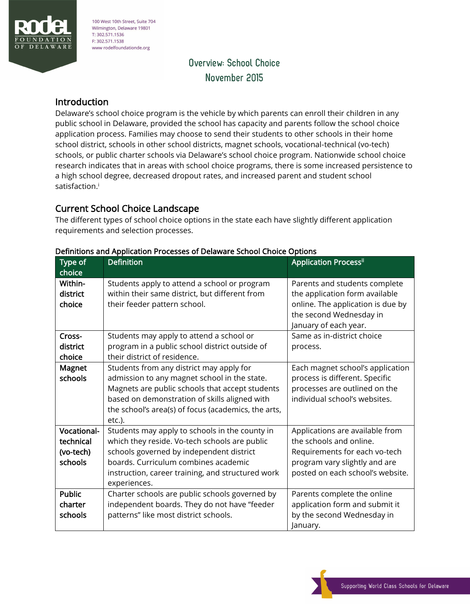

100 West 10th Street, Suite 704 Wilmington, Delaware 19801 T: 302.571.1536 F: 302.571.1538 www rodelfoundationde.org

# Overview: School Choice November 2015

### Introduction

Delaware's school choice program is the vehicle by which parents can enroll their children in any public school in Delaware, provided the school has capacity and parents follow the school choice application process. Families may choose to send their students to other schools in their home school district, schools in other school districts, magnet schools, vocational-technical (vo-tech) schools, or public charter schools via Delaware's school choice program. Nationwide school choice research indicates that in areas with school choice programs, there is some increased persistence to a high school degree, decreased dropout rates, and increased parent and student school satisfaction.<sup>i</sup>

### Current School Choice Landscape

The different types of school choice options in the state each have slightly different application requirements and selection processes.

| Type of<br>choice                                | <b>Definition</b>                                                                                                                                                                                                                                             | <b>Application Processii</b>                                                                                                                                     |
|--------------------------------------------------|---------------------------------------------------------------------------------------------------------------------------------------------------------------------------------------------------------------------------------------------------------------|------------------------------------------------------------------------------------------------------------------------------------------------------------------|
| Within-<br>district<br>choice                    | Students apply to attend a school or program<br>within their same district, but different from<br>their feeder pattern school.                                                                                                                                | Parents and students complete<br>the application form available<br>online. The application is due by<br>the second Wednesday in<br>January of each year.         |
| Cross-<br>district<br>choice                     | Students may apply to attend a school or<br>program in a public school district outside of<br>their district of residence.                                                                                                                                    | Same as in-district choice<br>process.                                                                                                                           |
| Magnet<br>schools                                | Students from any district may apply for<br>admission to any magnet school in the state.<br>Magnets are public schools that accept students<br>based on demonstration of skills aligned with<br>the school's area(s) of focus (academics, the arts,<br>etc.). | Each magnet school's application<br>process is different. Specific<br>processes are outlined on the<br>individual school's websites.                             |
| Vocational-<br>technical<br>(vo-tech)<br>schools | Students may apply to schools in the county in<br>which they reside. Vo-tech schools are public<br>schools governed by independent district<br>boards. Curriculum combines academic<br>instruction, career training, and structured work<br>experiences.      | Applications are available from<br>the schools and online.<br>Requirements for each vo-tech<br>program vary slightly and are<br>posted on each school's website. |
| <b>Public</b><br>charter<br>schools              | Charter schools are public schools governed by<br>independent boards. They do not have "feeder<br>patterns" like most district schools.                                                                                                                       | Parents complete the online<br>application form and submit it<br>by the second Wednesday in<br>January.                                                          |

#### Definitions and Application Processes of Delaware School Choice Options

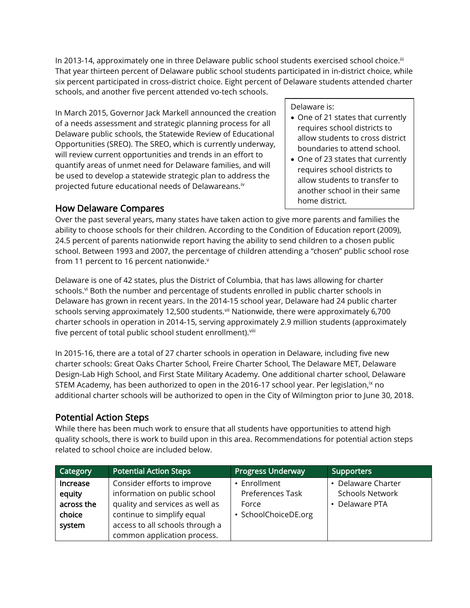In 2013-14, approximately one in three Delaware public school students exercised school choice.<sup>iii</sup> That year thirteen percent of Delaware public school students participated in in-district choice, while six percent participated in cross-district choice. Eight percent of Delaware students attended charter schools, and another five percent attended vo-tech schools.

In March 2015, Governor Jack Markell announced the creation of a needs assessment and strategic planning process for all Delaware public schools, the Statewide Review of Educational Opportunities (SREO). The SREO, which is currently underway, will review current opportunities and trends in an effort to quantify areas of unmet need for Delaware families, and will be used to develop a statewide strategic plan to address the projected future educational needs of Delawareans.iv

## How Delaware Compares

Delaware is:

- One of 21 states that currently requires school districts to allow students to cross district boundaries to attend school.
- One of 23 states that currently requires school districts to allow students to transfer to another school in their same home district.

Over the past several years, many states have taken action to give more parents and families the ability to choose schools for their children. According to the Condition of Education report (2009), 24.5 percent of parents nationwide report having the ability to send children to a chosen public school. Between 1993 and 2007, the percentage of children attending a "chosen" public school rose from 11 percent to 16 percent nationwide. $v$ 

Delaware is one of 42 states, plus the District of Columbia, that has laws allowing for charter schools.<sup>vi</sup> Both the number and percentage of students enrolled in public charter schools in Delaware has grown in recent years. In the 2014-15 school year, Delaware had 24 public charter schools serving approximately 12,500 students.<sup>vii</sup> Nationwide, there were approximately 6,700 charter schools in operation in 2014-15, serving approximately 2.9 million students (approximately five percent of total public school student enrollment).<sup>viii</sup>

In 2015-16, there are a total of 27 charter schools in operation in Delaware, including five new charter schools: Great Oaks Charter School, Freire Charter School, The Delaware MET, Delaware Design-Lab High School, and First State Military Academy. One additional charter school, Delaware STEM Academy, has been authorized to open in the 2016-17 school year. Per legislation, ${}^{\sf ix}$  no additional charter schools will be authorized to open in the City of Wilmington prior to June 30, 2018.

## Potential Action Steps

While there has been much work to ensure that all students have opportunities to attend high quality schools, there is work to build upon in this area. Recommendations for potential action steps related to school choice are included below.

| Category   | <b>Potential Action Steps</b>   | <b>Progress Underway</b> | <b>Supporters</b>      |
|------------|---------------------------------|--------------------------|------------------------|
| Increase   | Consider efforts to improve     | • Enrollment             | • Delaware Charter     |
| equity     | information on public school    | Preferences Task         | <b>Schools Network</b> |
| across the | quality and services as well as | Force                    | • Delaware PTA         |
| choice     | continue to simplify equal      | · SchoolChoiceDE.org     |                        |
| system     | access to all schools through a |                          |                        |
|            | common application process.     |                          |                        |